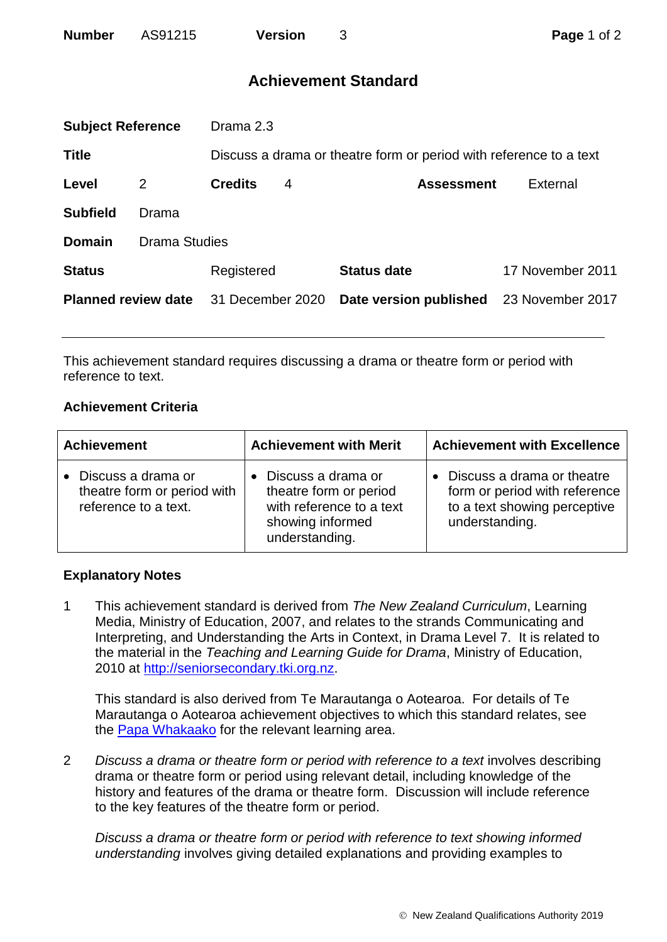| <b>Number</b> | AS91215 | <b>Version</b> |
|---------------|---------|----------------|
|               |         |                |

# **Achievement Standard**

| <b>Subject Reference</b>   |                      | Drama 2.3                                                          |   |                        |                  |
|----------------------------|----------------------|--------------------------------------------------------------------|---|------------------------|------------------|
| <b>Title</b>               |                      | Discuss a drama or theatre form or period with reference to a text |   |                        |                  |
| Level                      | 2                    | <b>Credits</b>                                                     | 4 | <b>Assessment</b>      | External         |
| <b>Subfield</b>            | Drama                |                                                                    |   |                        |                  |
| <b>Domain</b>              | <b>Drama Studies</b> |                                                                    |   |                        |                  |
| <b>Status</b>              |                      | Registered                                                         |   | <b>Status date</b>     | 17 November 2011 |
| <b>Planned review date</b> |                      | 31 December 2020                                                   |   | Date version published | 23 November 2017 |
|                            |                      |                                                                    |   |                        |                  |

This achievement standard requires discussing a drama or theatre form or period with reference to text.

## **Achievement Criteria**

| <b>Achievement</b>                                                          | <b>Achievement with Merit</b>                                                                                  | <b>Achievement with Excellence</b>                                                                            |
|-----------------------------------------------------------------------------|----------------------------------------------------------------------------------------------------------------|---------------------------------------------------------------------------------------------------------------|
| • Discuss a drama or<br>theatre form or period with<br>reference to a text. | Discuss a drama or<br>theatre form or period<br>with reference to a text<br>showing informed<br>understanding. | Discuss a drama or theatre<br>form or period with reference<br>to a text showing perceptive<br>understanding. |

## **Explanatory Notes**

1 This achievement standard is derived from *The New Zealand Curriculum*, Learning Media, Ministry of Education, 2007, and relates to the strands Communicating and Interpreting, and Understanding the Arts in Context, in Drama Level 7. It is related to the material in the *Teaching and Learning Guide for Drama*, Ministry of Education, 2010 at [http://seniorsecondary.tki.org.nz.](http://seniorsecondary.tki.org.nz/)

This standard is also derived from Te Marautanga o Aotearoa. For details of Te Marautanga o Aotearoa achievement objectives to which this standard relates, see the [Papa Whakaako](http://tmoa.tki.org.nz/Te-Marautanga-o-Aotearoa/Taumata-Matauranga-a-Motu-Ka-Taea) for the relevant learning area.

2 *Discuss a drama or theatre form or period with reference to a text* involves describing drama or theatre form or period using relevant detail, including knowledge of the history and features of the drama or theatre form. Discussion will include reference to the key features of the theatre form or period.

*Discuss a drama or theatre form or period with reference to text showing informed understanding* involves giving detailed explanations and providing examples to